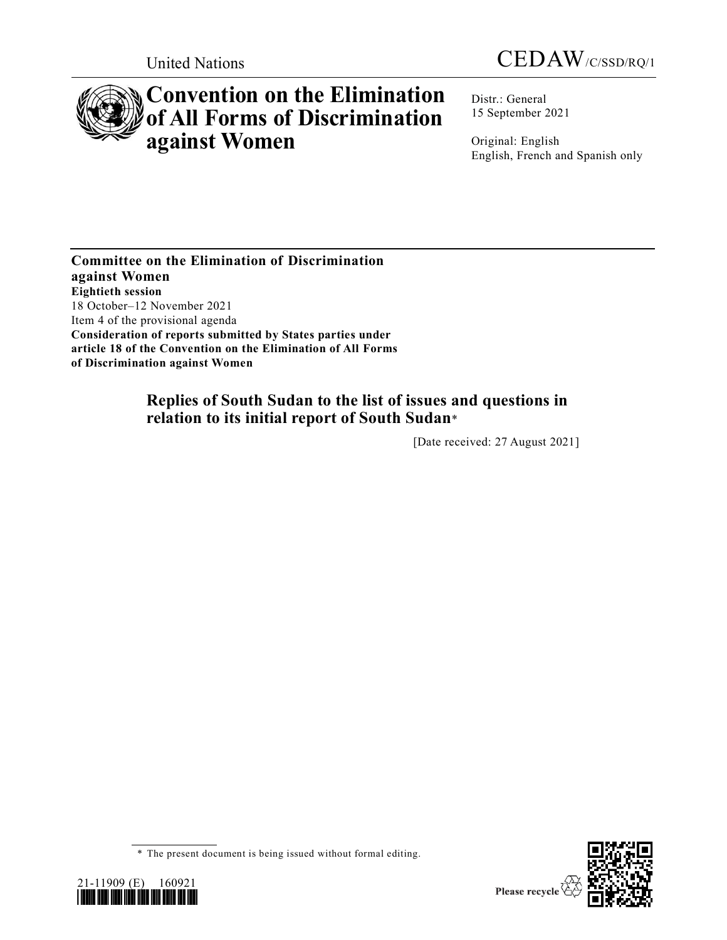



# **Convention on the Elimination of All Forms of Discrimination against Women**

Distr.: General 15 September 2021

Original: English English, French and Spanish only

**Committee on the Elimination of Discrimination against Women Eightieth session** 18 October–12 November 2021 Item 4 of the provisional agenda **Consideration of reports submitted by States parties under article 18 of the Convention on the Elimination of All Forms of Discrimination against Women**

## **Replies of South Sudan to the list of issues and questions in relation to its initial report of South Sudan**\*

[Date received: 27 August 2021]



<sup>\*</sup> The present document is being issued without formal editing.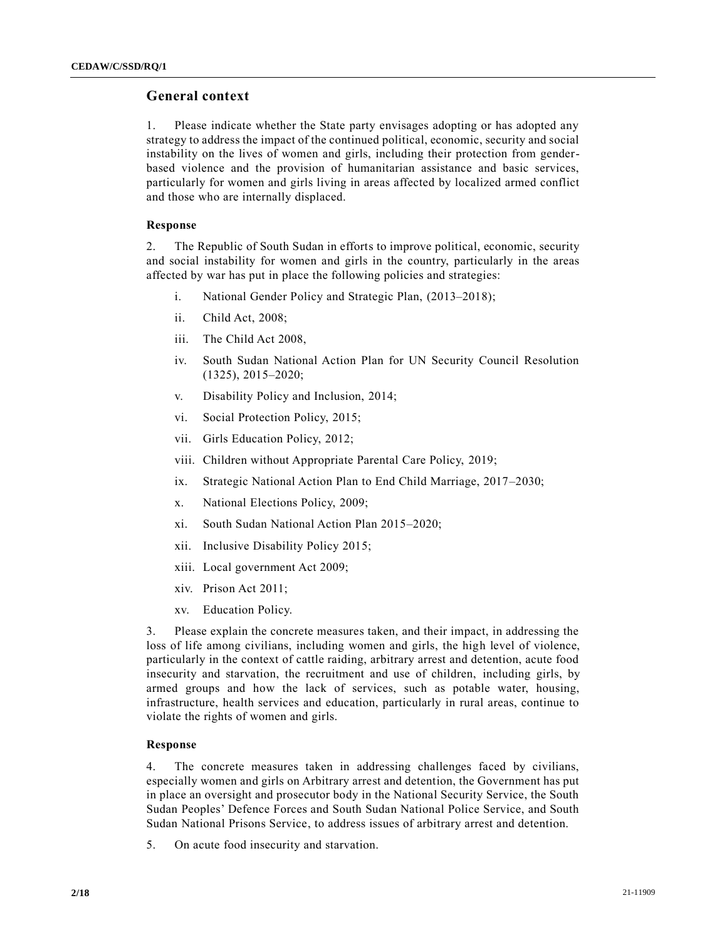## **General context**

1. Please indicate whether the State party envisages adopting or has adopted any strategy to address the impact of the continued political, economic, security and social instability on the lives of women and girls, including their protection from genderbased violence and the provision of humanitarian assistance and basic services, particularly for women and girls living in areas affected by localized armed conflict and those who are internally displaced.

#### **Response**

2. The Republic of South Sudan in efforts to improve political, economic, security and social instability for women and girls in the country, particularly in the areas affected by war has put in place the following policies and strategies:

- i. National Gender Policy and Strategic Plan, (2013–2018);
- ii. Child Act, 2008;
- iii. The Child Act 2008,
- iv. South Sudan National Action Plan for UN Security Council Resolution (1325), 2015–2020;
- v. Disability Policy and Inclusion, 2014;
- vi. Social Protection Policy, 2015;
- vii. Girls Education Policy, 2012;
- viii. Children without Appropriate Parental Care Policy, 2019;
- ix. Strategic National Action Plan to End Child Marriage, 2017–2030;
- x. National Elections Policy, 2009;
- xi. South Sudan National Action Plan 2015–2020;
- xii. Inclusive Disability Policy 2015;
- xiii. Local government Act 2009;
- xiv. Prison Act 2011;
- xv. Education Policy.

3. Please explain the concrete measures taken, and their impact, in addressing the loss of life among civilians, including women and girls, the high level of violence, particularly in the context of cattle raiding, arbitrary arrest and detention, acute food insecurity and starvation, the recruitment and use of children, including girls, by armed groups and how the lack of services, such as potable water, housing, infrastructure, health services and education, particularly in rural areas, continue to violate the rights of women and girls.

#### **Response**

4. The concrete measures taken in addressing challenges faced by civilians, especially women and girls on Arbitrary arrest and detention, the Government has put in place an oversight and prosecutor body in the National Security Service, the South Sudan Peoples' Defence Forces and South Sudan National Police Service, and South Sudan National Prisons Service, to address issues of arbitrary arrest and detention.

5. On acute food insecurity and starvation.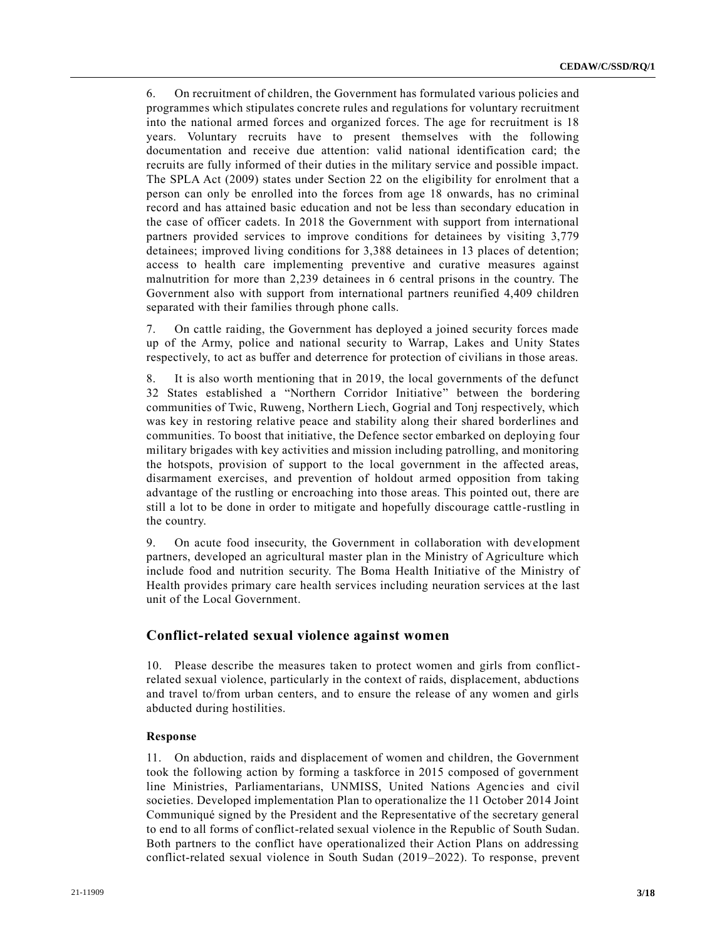6. On recruitment of children, the Government has formulated various policies and programmes which stipulates concrete rules and regulations for voluntary recruitment into the national armed forces and organized forces. The age for recruitment is 18 years. Voluntary recruits have to present themselves with the following documentation and receive due attention: valid national identification card; the recruits are fully informed of their duties in the military service and possible impact. The SPLA Act (2009) states under Section 22 on the eligibility for enrolment that a person can only be enrolled into the forces from age 18 onwards, has no criminal record and has attained basic education and not be less than secondary education in the case of officer cadets. In 2018 the Government with support from international partners provided services to improve conditions for detainees by visiting 3,779 detainees; improved living conditions for 3,388 detainees in 13 places of detention; access to health care implementing preventive and curative measures against malnutrition for more than 2,239 detainees in 6 central prisons in the country. The Government also with support from international partners reunified 4,409 children separated with their families through phone calls.

7. On cattle raiding, the Government has deployed a joined security forces made up of the Army, police and national security to Warrap, Lakes and Unity States respectively, to act as buffer and deterrence for protection of civilians in those areas.

8. It is also worth mentioning that in 2019, the local governments of the defunct 32 States established a "Northern Corridor Initiative" between the bordering communities of Twic, Ruweng, Northern Liech, Gogrial and Tonj respectively, which was key in restoring relative peace and stability along their shared borderlines and communities. To boost that initiative, the Defence sector embarked on deploying four military brigades with key activities and mission including patrolling, and monitoring the hotspots, provision of support to the local government in the affected areas, disarmament exercises, and prevention of holdout armed opposition from taking advantage of the rustling or encroaching into those areas. This pointed out, there are still a lot to be done in order to mitigate and hopefully discourage cattle-rustling in the country.

9. On acute food insecurity, the Government in collaboration with development partners, developed an agricultural master plan in the Ministry of Agriculture which include food and nutrition security. The Boma Health Initiative of the Ministry of Health provides primary care health services including neuration services at the last unit of the Local Government.

## **Conflict-related sexual violence against women**

10. Please describe the measures taken to protect women and girls from conflictrelated sexual violence, particularly in the context of raids, displacement, abductions and travel to/from urban centers, and to ensure the release of any women and girls abducted during hostilities.

#### **Response**

11. On abduction, raids and displacement of women and children, the Government took the following action by forming a taskforce in 2015 composed of government line Ministries, Parliamentarians, UNMISS, United Nations Agencies and civil societies. Developed implementation Plan to operationalize the 11 October 2014 Joint Communiqué signed by the President and the Representative of the secretary general to end to all forms of conflict-related sexual violence in the Republic of South Sudan. Both partners to the conflict have operationalized their Action Plans on addressing conflict-related sexual violence in South Sudan (2019–2022). To response, prevent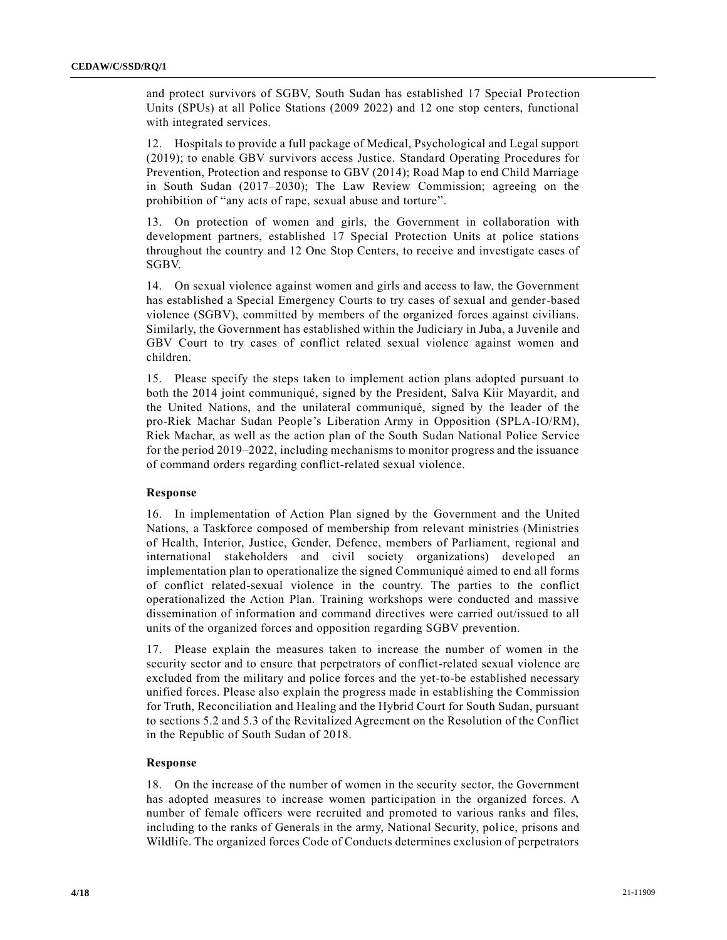and protect survivors of SGBV, South Sudan has established 17 Special Protection Units (SPUs) at all Police Stations (2009 2022) and 12 one stop centers, functional with integrated services.

12. Hospitals to provide a full package of Medical, Psychological and Legal support (2019); to enable GBV survivors access Justice. Standard Operating Procedures for Prevention, Protection and response to GBV (2014); Road Map to end Child Marriage in South Sudan (2017–2030); The Law Review Commission; agreeing on the prohibition of "any acts of rape, sexual abuse and torture".

13. On protection of women and girls, the Government in collaboration with development partners, established 17 Special Protection Units at police stations throughout the country and 12 One Stop Centers, to receive and investigate cases of SGBV.

14. On sexual violence against women and girls and access to law, the Government has established a Special Emergency Courts to try cases of sexual and gender-based violence (SGBV), committed by members of the organized forces against civilians. Similarly, the Government has established within the Judiciary in Juba, a Juvenile and GBV Court to try cases of conflict related sexual violence against women and children.

15. Please specify the steps taken to implement action plans adopted pursuant to both the 2014 joint communiqué, signed by the President, Salva Kiir Mayardit, and the United Nations, and the unilateral communiqué, signed by the leader of the pro-Riek Machar Sudan People's Liberation Army in Opposition (SPLA-IO/RM), Riek Machar, as well as the action plan of the South Sudan National Police Service for the period 2019–2022, including mechanisms to monitor progress and the issuance of command orders regarding conflict-related sexual violence.

#### **Response**

16. In implementation of Action Plan signed by the Government and the United Nations, a Taskforce composed of membership from relevant ministries (Ministries of Health, Interior, Justice, Gender, Defence, members of Parliament, regional and international stakeholders and civil society organizations) developed an implementation plan to operationalize the signed Communiqué aimed to end all forms of conflict related-sexual violence in the country. The parties to the conflict operationalized the Action Plan. Training workshops were conducted and massive dissemination of information and command directives were carried out/issued to all units of the organized forces and opposition regarding SGBV prevention.

17. Please explain the measures taken to increase the number of women in the security sector and to ensure that perpetrators of conflict-related sexual violence are excluded from the military and police forces and the yet-to-be established necessary unified forces. Please also explain the progress made in establishing the Commission for Truth, Reconciliation and Healing and the Hybrid Court for South Sudan, pursuant to sections 5.2 and 5.3 of the Revitalized Agreement on the Resolution of the Conflict in the Republic of South Sudan of 2018.

#### **Response**

18. On the increase of the number of women in the security sector, the Government has adopted measures to increase women participation in the organized forces. A number of female officers were recruited and promoted to various ranks and files, including to the ranks of Generals in the army, National Security, police, prisons and Wildlife. The organized forces Code of Conducts determines exclusion of perpetrators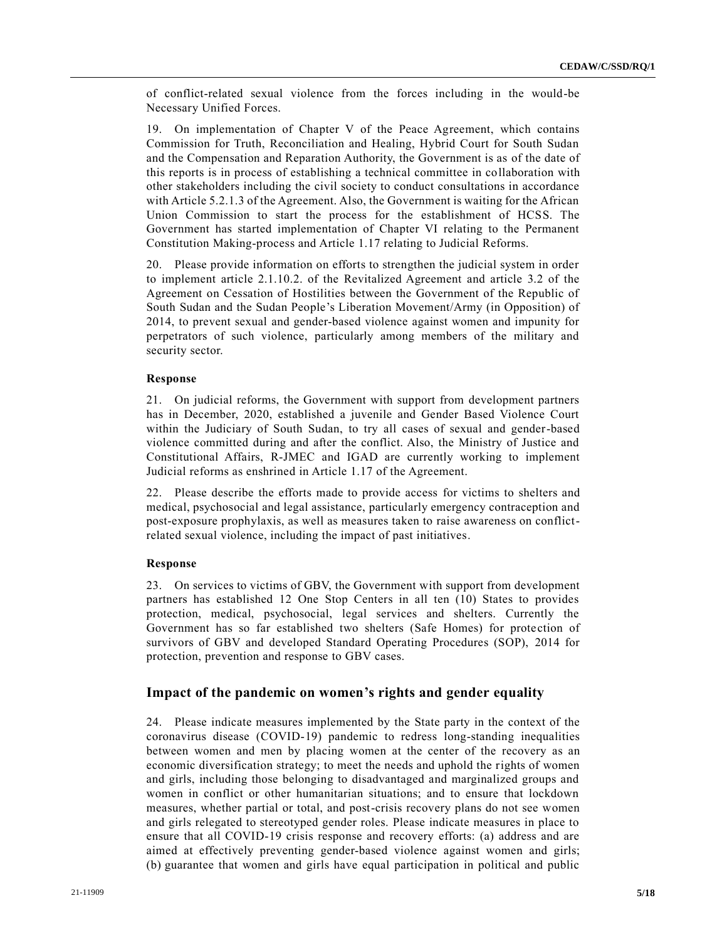of conflict-related sexual violence from the forces including in the would-be Necessary Unified Forces.

19. On implementation of Chapter V of the Peace Agreement, which contains Commission for Truth, Reconciliation and Healing, Hybrid Court for South Sudan and the Compensation and Reparation Authority, the Government is as of the date of this reports is in process of establishing a technical committee in collaboration with other stakeholders including the civil society to conduct consultations in accordance with Article 5.2.1.3 of the Agreement. Also, the Government is waiting for the African Union Commission to start the process for the establishment of HCSS. The Government has started implementation of Chapter VI relating to the Permanent Constitution Making-process and Article 1.17 relating to Judicial Reforms.

20. Please provide information on efforts to strengthen the judicial system in order to implement article 2.1.10.2. of the Revitalized Agreement and article 3.2 of the Agreement on Cessation of Hostilities between the Government of the Republic of South Sudan and the Sudan People's Liberation Movement/Army (in Opposition) of 2014, to prevent sexual and gender-based violence against women and impunity for perpetrators of such violence, particularly among members of the military and security sector.

#### **Response**

21. On judicial reforms, the Government with support from development partners has in December, 2020, established a juvenile and Gender Based Violence Court within the Judiciary of South Sudan, to try all cases of sexual and gender-based violence committed during and after the conflict. Also, the Ministry of Justice and Constitutional Affairs, R-JMEC and IGAD are currently working to implement Judicial reforms as enshrined in Article 1.17 of the Agreement.

22. Please describe the efforts made to provide access for victims to shelters and medical, psychosocial and legal assistance, particularly emergency contraception and post-exposure prophylaxis, as well as measures taken to raise awareness on conflictrelated sexual violence, including the impact of past initiatives.

#### **Response**

23. On services to victims of GBV, the Government with support from development partners has established 12 One Stop Centers in all ten (10) States to provides protection, medical, psychosocial, legal services and shelters. Currently the Government has so far established two shelters (Safe Homes) for protection of survivors of GBV and developed Standard Operating Procedures (SOP), 2014 for protection, prevention and response to GBV cases.

### **Impact of the pandemic on women's rights and gender equality**

24. Please indicate measures implemented by the State party in the context of the coronavirus disease (COVID-19) pandemic to redress long-standing inequalities between women and men by placing women at the center of the recovery as an economic diversification strategy; to meet the needs and uphold the rights of women and girls, including those belonging to disadvantaged and marginalized groups and women in conflict or other humanitarian situations; and to ensure that lockdown measures, whether partial or total, and post-crisis recovery plans do not see women and girls relegated to stereotyped gender roles. Please indicate measures in place to ensure that all COVID-19 crisis response and recovery efforts: (a) address and are aimed at effectively preventing gender-based violence against women and girls; (b) guarantee that women and girls have equal participation in political and public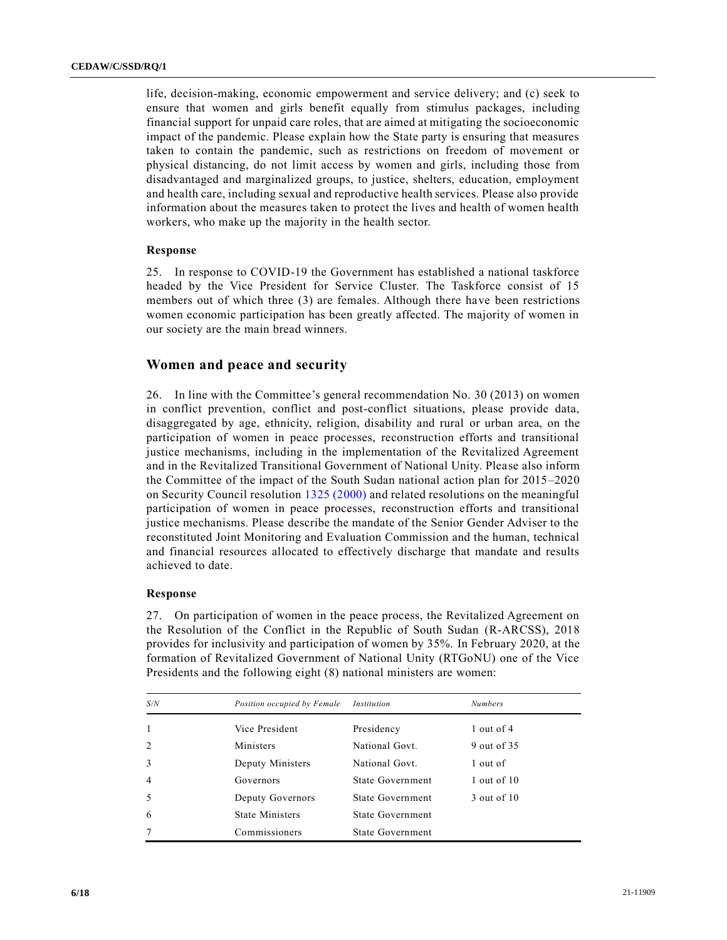life, decision-making, economic empowerment and service delivery; and (c) seek to ensure that women and girls benefit equally from stimulus packages, including financial support for unpaid care roles, that are aimed at mitigating the socioeconomic impact of the pandemic. Please explain how the State party is ensuring that measures taken to contain the pandemic, such as restrictions on freedom of movement or physical distancing, do not limit access by women and girls, including those from disadvantaged and marginalized groups, to justice, shelters, education, employment and health care, including sexual and reproductive health services. Please also provide information about the measures taken to protect the lives and health of women health workers, who make up the majority in the health sector.

#### **Response**

25. In response to COVID-19 the Government has established a national taskforce headed by the Vice President for Service Cluster. The Taskforce consist of 15 members out of which three (3) are females. Although there have been restrictions women economic participation has been greatly affected. The majority of women in our society are the main bread winners.

## **Women and peace and security**

26. In line with the Committee's general recommendation No. 30 (2013) on women in conflict prevention, conflict and post-conflict situations, please provide data, disaggregated by age, ethnicity, religion, disability and rural or urban area, on the participation of women in peace processes, reconstruction efforts and transitional justice mechanisms, including in the implementation of the Revitalized Agreement and in the Revitalized Transitional Government of National Unity. Please also inform the Committee of the impact of the South Sudan national action plan for 2015–2020 on Security Council resolution [1325 \(2000\)](https://undocs.org/en/S/RES/1325(2000)) and related resolutions on the meaningful participation of women in peace processes, reconstruction efforts and transitional justice mechanisms. Please describe the mandate of the Senior Gender Adviser to the reconstituted Joint Monitoring and Evaluation Commission and the human, technical and financial resources allocated to effectively discharge that mandate and results achieved to date.

#### **Response**

27. On participation of women in the peace process, the Revitalized Agreement on the Resolution of the Conflict in the Republic of South Sudan (R-ARCSS), 2018 provides for inclusivity and participation of women by 35%. In February 2020, at the formation of Revitalized Government of National Unity (RTGoNU) one of the Vice Presidents and the following eight (8) national ministers are women:

| S/N            | Position occupied by Female | Institution      | <b>Numbers</b>  |
|----------------|-----------------------------|------------------|-----------------|
| 1              | Vice President              | Presidency       | $1$ out of 4    |
| 2              | Ministers                   | National Govt.   | 9 out of 35     |
| 3              | Deputy Ministers            | National Govt.   | 1 out of        |
| $\overline{4}$ | Governors                   | State Government | $1$ out of $10$ |
| 5              | Deputy Governors            | State Government | 3 out of 10     |
| 6              | <b>State Ministers</b>      | State Government |                 |
|                | Commissioners               | State Government |                 |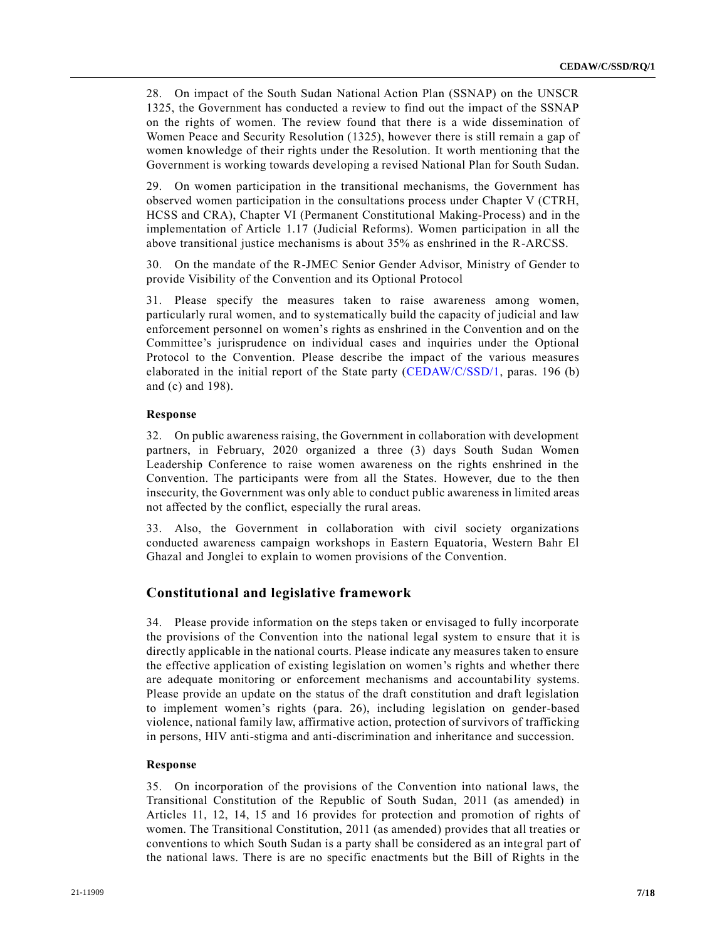28. On impact of the South Sudan National Action Plan (SSNAP) on the UNSCR 1325, the Government has conducted a review to find out the impact of the SSNAP on the rights of women. The review found that there is a wide dissemination of Women Peace and Security Resolution (1325), however there is still remain a gap of women knowledge of their rights under the Resolution. It worth mentioning that the Government is working towards developing a revised National Plan for South Sudan.

29. On women participation in the transitional mechanisms, the Government has observed women participation in the consultations process under Chapter V (CTRH, HCSS and CRA), Chapter VI (Permanent Constitutional Making-Process) and in the implementation of Article 1.17 (Judicial Reforms). Women participation in all the above transitional justice mechanisms is about 35% as enshrined in the R-ARCSS.

30. On the mandate of the R-JMEC Senior Gender Advisor, Ministry of Gender to provide Visibility of the Convention and its Optional Protocol

31. Please specify the measures taken to raise awareness among women, particularly rural women, and to systematically build the capacity of judicial and law enforcement personnel on women's rights as enshrined in the Convention and on the Committee's jurisprudence on individual cases and inquiries under the Optional Protocol to the Convention. Please describe the impact of the various measures elaborated in the initial report of the State party [\(CEDAW/C/SSD/1,](https://undocs.org/en/CEDAW/C/SSD/1) paras. 196 (b) and (c) and 198).

#### **Response**

32. On public awareness raising, the Government in collaboration with development partners, in February, 2020 organized a three (3) days South Sudan Women Leadership Conference to raise women awareness on the rights enshrined in the Convention. The participants were from all the States. However, due to the then insecurity, the Government was only able to conduct public awareness in limited areas not affected by the conflict, especially the rural areas.

33. Also, the Government in collaboration with civil society organizations conducted awareness campaign workshops in Eastern Equatoria, Western Bahr El Ghazal and Jonglei to explain to women provisions of the Convention.

## **Constitutional and legislative framework**

34. Please provide information on the steps taken or envisaged to fully incorporate the provisions of the Convention into the national legal system to ensure that it is directly applicable in the national courts. Please indicate any measures taken to ensure the effective application of existing legislation on women's rights and whether there are adequate monitoring or enforcement mechanisms and accountability systems. Please provide an update on the status of the draft constitution and draft legislation to implement women's rights (para. 26), including legislation on gender-based violence, national family law, affirmative action, protection of survivors of trafficking in persons, HIV anti-stigma and anti-discrimination and inheritance and succession.

#### **Response**

35. On incorporation of the provisions of the Convention into national laws, the Transitional Constitution of the Republic of South Sudan, 2011 (as amended) in Articles 11, 12, 14, 15 and 16 provides for protection and promotion of rights of women. The Transitional Constitution, 2011 (as amended) provides that all treaties or conventions to which South Sudan is a party shall be considered as an integral part of the national laws. There is are no specific enactments but the Bill of Rights in the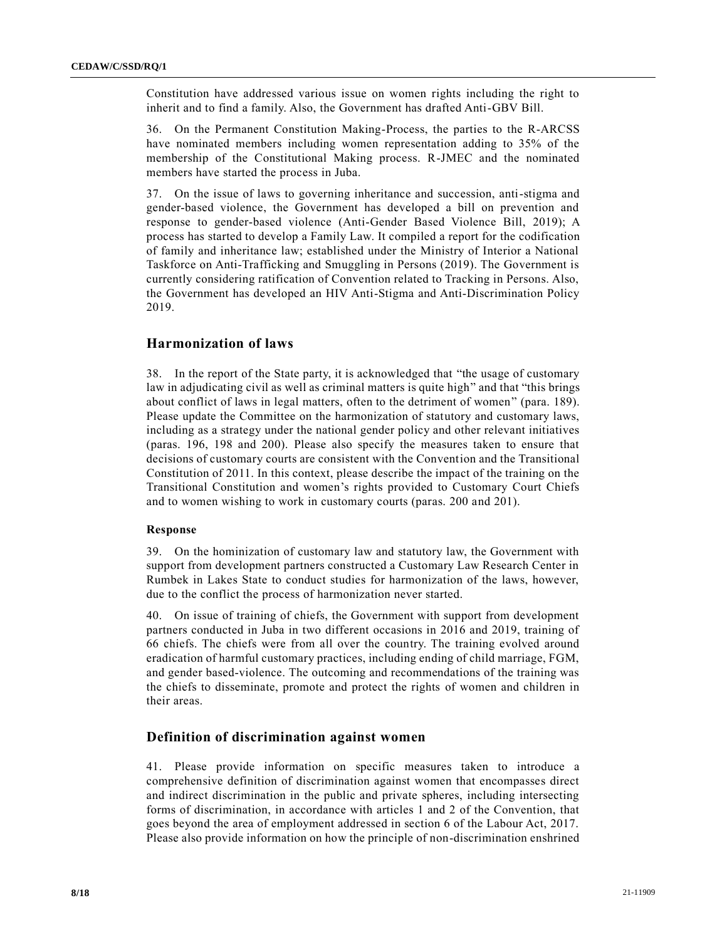Constitution have addressed various issue on women rights including the right to inherit and to find a family. Also, the Government has drafted Anti-GBV Bill.

36. On the Permanent Constitution Making-Process, the parties to the R-ARCSS have nominated members including women representation adding to 35% of the membership of the Constitutional Making process. R-JMEC and the nominated members have started the process in Juba.

37. On the issue of laws to governing inheritance and succession, anti-stigma and gender-based violence, the Government has developed a bill on prevention and response to gender-based violence (Anti-Gender Based Violence Bill, 2019); A process has started to develop a Family Law. It compiled a report for the codification of family and inheritance law; established under the Ministry of Interior a National Taskforce on Anti-Trafficking and Smuggling in Persons (2019). The Government is currently considering ratification of Convention related to Tracking in Persons. Also, the Government has developed an HIV Anti-Stigma and Anti-Discrimination Policy 2019.

## **Harmonization of laws**

38. In the report of the State party, it is acknowledged that "the usage of customary law in adjudicating civil as well as criminal matters is quite high" and that "this brings" about conflict of laws in legal matters, often to the detriment of women" (para. 189). Please update the Committee on the harmonization of statutory and customary laws, including as a strategy under the national gender policy and other relevant initiatives (paras. 196, 198 and 200). Please also specify the measures taken to ensure that decisions of customary courts are consistent with the Convention and the Transitional Constitution of 2011. In this context, please describe the impact of the training on the Transitional Constitution and women's rights provided to Customary Court Chiefs and to women wishing to work in customary courts (paras. 200 and 201).

#### **Response**

39. On the hominization of customary law and statutory law, the Government with support from development partners constructed a Customary Law Research Center in Rumbek in Lakes State to conduct studies for harmonization of the laws, however, due to the conflict the process of harmonization never started.

40. On issue of training of chiefs, the Government with support from development partners conducted in Juba in two different occasions in 2016 and 2019, training of 66 chiefs. The chiefs were from all over the country. The training evolved around eradication of harmful customary practices, including ending of child marriage, FGM, and gender based-violence. The outcoming and recommendations of the training was the chiefs to disseminate, promote and protect the rights of women and children in their areas.

## **Definition of discrimination against women**

41. Please provide information on specific measures taken to introduce a comprehensive definition of discrimination against women that encompasses direct and indirect discrimination in the public and private spheres, including intersecting forms of discrimination, in accordance with articles 1 and 2 of the Convention, that goes beyond the area of employment addressed in section 6 of the Labour Act, 2017. Please also provide information on how the principle of non-discrimination enshrined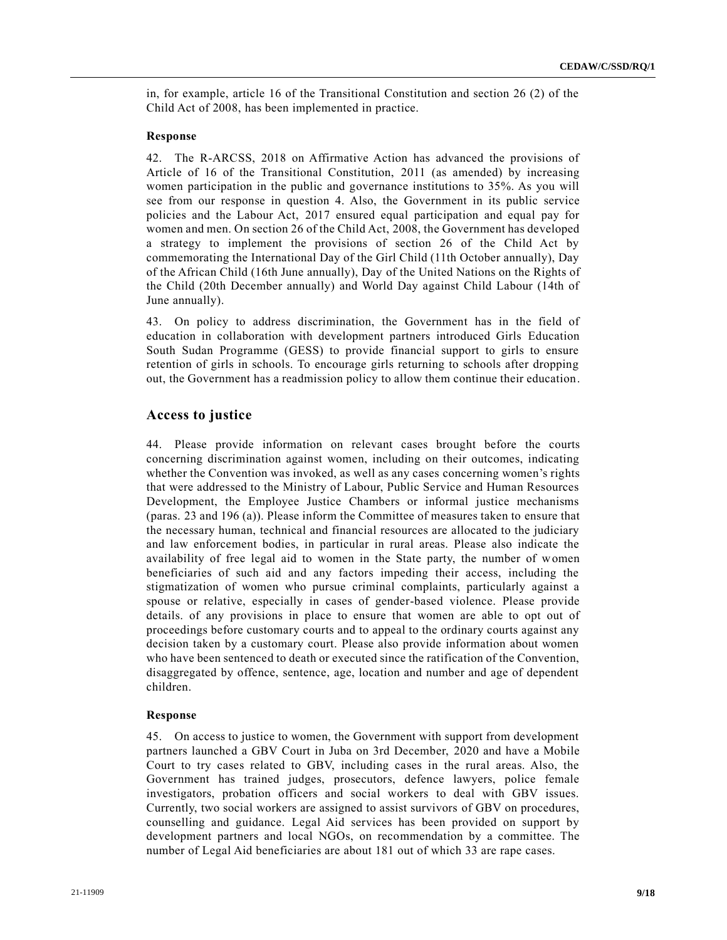in, for example, article 16 of the Transitional Constitution and section 26 (2) of the Child Act of 2008, has been implemented in practice.

#### **Response**

42. The R-ARCSS, 2018 on Affirmative Action has advanced the provisions of Article of 16 of the Transitional Constitution, 2011 (as amended) by increasing women participation in the public and governance institutions to 35%. As you will see from our response in question 4. Also, the Government in its public service policies and the Labour Act, 2017 ensured equal participation and equal pay for women and men. On section 26 of the Child Act, 2008, the Government has developed a strategy to implement the provisions of section 26 of the Child Act by commemorating the International Day of the Girl Child (11th October annually), Day of the African Child (16th June annually), Day of the United Nations on the Rights of the Child (20th December annually) and World Day against Child Labour (14th of June annually).

43. On policy to address discrimination, the Government has in the field of education in collaboration with development partners introduced Girls Education South Sudan Programme (GESS) to provide financial support to girls to ensure retention of girls in schools. To encourage girls returning to schools after dropping out, the Government has a readmission policy to allow them continue their education.

## **Access to justice**

44. Please provide information on relevant cases brought before the courts concerning discrimination against women, including on their outcomes, indicating whether the Convention was invoked, as well as any cases concerning women's rights that were addressed to the Ministry of Labour, Public Service and Human Resources Development, the Employee Justice Chambers or informal justice mechanisms (paras. 23 and 196 (a)). Please inform the Committee of measures taken to ensure that the necessary human, technical and financial resources are allocated to the judiciary and law enforcement bodies, in particular in rural areas. Please also indicate the availability of free legal aid to women in the State party, the number of women beneficiaries of such aid and any factors impeding their access, including the stigmatization of women who pursue criminal complaints, particularly against a spouse or relative, especially in cases of gender-based violence. Please provide details. of any provisions in place to ensure that women are able to opt out of proceedings before customary courts and to appeal to the ordinary courts against any decision taken by a customary court. Please also provide information about women who have been sentenced to death or executed since the ratification of the Convention, disaggregated by offence, sentence, age, location and number and age of dependent children.

#### **Response**

45. On access to justice to women, the Government with support from development partners launched a GBV Court in Juba on 3rd December, 2020 and have a Mobile Court to try cases related to GBV, including cases in the rural areas. Also, the Government has trained judges, prosecutors, defence lawyers, police female investigators, probation officers and social workers to deal with GBV issues. Currently, two social workers are assigned to assist survivors of GBV on procedures, counselling and guidance. Legal Aid services has been provided on support by development partners and local NGOs, on recommendation by a committee. The number of Legal Aid beneficiaries are about 181 out of which 33 are rape cases.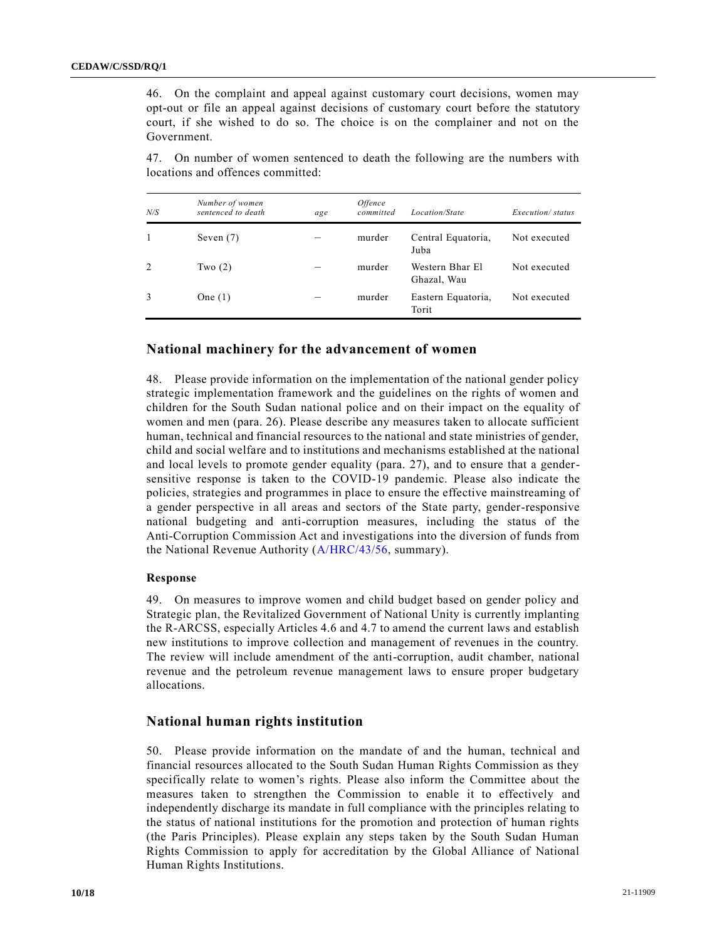46. On the complaint and appeal against customary court decisions, women may opt-out or file an appeal against decisions of customary court before the statutory court, if she wished to do so. The choice is on the complainer and not on the Government.

47. On number of women sentenced to death the following are the numbers with locations and offences committed:

| N/S | Number of women<br>sentenced to death | age | <i><b>Offence</b></i><br>committed | Location/State                 | Execution/status |
|-----|---------------------------------------|-----|------------------------------------|--------------------------------|------------------|
|     | Seven $(7)$                           |     | murder                             | Central Equatoria,<br>Juba     | Not executed     |
| 2   | Two $(2)$                             |     | murder                             | Western Bhar El<br>Ghazal, Wau | Not executed     |
|     | One $(1)$                             |     | murder                             | Eastern Equatoria,<br>Torit    | Not executed     |

#### **National machinery for the advancement of women**

48. Please provide information on the implementation of the national gender policy strategic implementation framework and the guidelines on the rights of women and children for the South Sudan national police and on their impact on the equality of women and men (para. 26). Please describe any measures taken to allocate sufficient human, technical and financial resources to the national and state ministries of gender, child and social welfare and to institutions and mechanisms established at the national and local levels to promote gender equality (para. 27), and to ensure that a gendersensitive response is taken to the COVID-19 pandemic. Please also indicate the policies, strategies and programmes in place to ensure the effective mainstreaming of a gender perspective in all areas and sectors of the State party, gender-responsive national budgeting and anti-corruption measures, including the status of the Anti-Corruption Commission Act and investigations into the diversion of funds from the National Revenue Authority [\(A/HRC/43/56,](https://undocs.org/en/A/HRC/43/56) summary).

#### **Response**

49. On measures to improve women and child budget based on gender policy and Strategic plan, the Revitalized Government of National Unity is currently implanting the R-ARCSS, especially Articles 4.6 and 4.7 to amend the current laws and establish new institutions to improve collection and management of revenues in the country. The review will include amendment of the anti-corruption, audit chamber, national revenue and the petroleum revenue management laws to ensure proper budgetary allocations.

## **National human rights institution**

50. Please provide information on the mandate of and the human, technical and financial resources allocated to the South Sudan Human Rights Commission as they specifically relate to women's rights. Please also inform the Committee about the measures taken to strengthen the Commission to enable it to effectively and independently discharge its mandate in full compliance with the principles relating to the status of national institutions for the promotion and protection of human rights (the Paris Principles). Please explain any steps taken by the South Sudan Human Rights Commission to apply for accreditation by the Global Alliance of National Human Rights Institutions.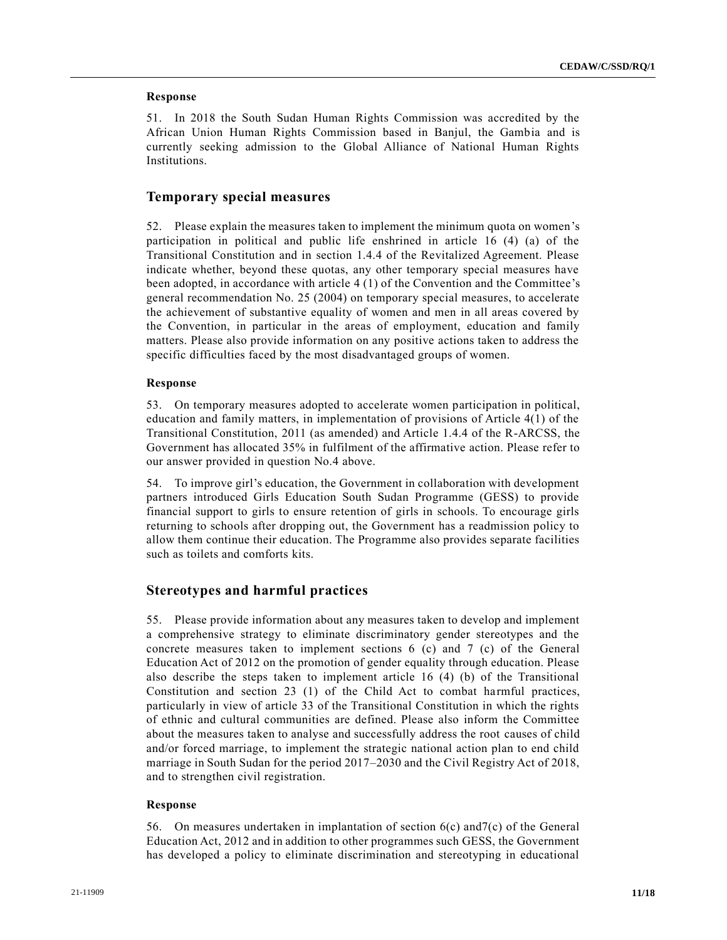#### **Response**

51. In 2018 the South Sudan Human Rights Commission was accredited by the African Union Human Rights Commission based in Banjul, the Gambia and is currently seeking admission to the Global Alliance of National Human Rights Institutions.

## **Temporary special measures**

52. Please explain the measures taken to implement the minimum quota on women's participation in political and public life enshrined in article 16 (4) (a) of the Transitional Constitution and in section 1.4.4 of the Revitalized Agreement. Please indicate whether, beyond these quotas, any other temporary special measures have been adopted, in accordance with article 4 (1) of the Convention and the Committee's general recommendation No. 25 (2004) on temporary special measures, to accelerate the achievement of substantive equality of women and men in all areas covered by the Convention, in particular in the areas of employment, education and family matters. Please also provide information on any positive actions taken to address the specific difficulties faced by the most disadvantaged groups of women.

#### **Response**

53. On temporary measures adopted to accelerate women participation in political, education and family matters, in implementation of provisions of Article 4(1) of the Transitional Constitution, 2011 (as amended) and Article 1.4.4 of the R-ARCSS, the Government has allocated 35% in fulfilment of the affirmative action. Please refer to our answer provided in question No.4 above.

54. To improve girl's education, the Government in collaboration with development partners introduced Girls Education South Sudan Programme (GESS) to provide financial support to girls to ensure retention of girls in schools. To encourage girls returning to schools after dropping out, the Government has a readmission policy to allow them continue their education. The Programme also provides separate facilities such as toilets and comforts kits.

## **Stereotypes and harmful practices**

55. Please provide information about any measures taken to develop and implement a comprehensive strategy to eliminate discriminatory gender stereotypes and the concrete measures taken to implement sections 6 (c) and 7 (c) of the General Education Act of 2012 on the promotion of gender equality through education. Please also describe the steps taken to implement article 16 (4) (b) of the Transitional Constitution and section 23 (1) of the Child Act to combat harmful practices, particularly in view of article 33 of the Transitional Constitution in which the rights of ethnic and cultural communities are defined. Please also inform the Committee about the measures taken to analyse and successfully address the root causes of child and/or forced marriage, to implement the strategic national action plan to end child marriage in South Sudan for the period 2017–2030 and the Civil Registry Act of 2018, and to strengthen civil registration.

#### **Response**

56. On measures undertaken in implantation of section 6(c) and7(c) of the General Education Act, 2012 and in addition to other programmes such GESS, the Government has developed a policy to eliminate discrimination and stereotyping in educational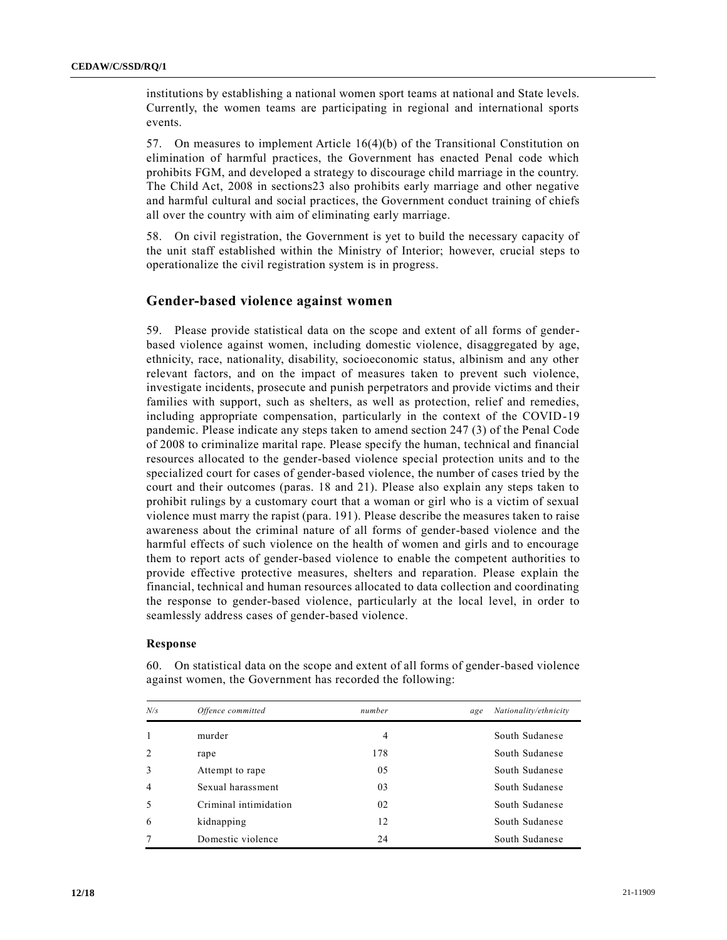institutions by establishing a national women sport teams at national and State levels. Currently, the women teams are participating in regional and international sports events.

57. On measures to implement Article 16(4)(b) of the Transitional Constitution on elimination of harmful practices, the Government has enacted Penal code which prohibits FGM, and developed a strategy to discourage child marriage in the country. The Child Act, 2008 in sections23 also prohibits early marriage and other negative and harmful cultural and social practices, the Government conduct training of chiefs all over the country with aim of eliminating early marriage.

58. On civil registration, the Government is yet to build the necessary capacity of the unit staff established within the Ministry of Interior; however, crucial steps to operationalize the civil registration system is in progress.

## **Gender-based violence against women**

59. Please provide statistical data on the scope and extent of all forms of genderbased violence against women, including domestic violence, disaggregated by age, ethnicity, race, nationality, disability, socioeconomic status, albinism and any other relevant factors, and on the impact of measures taken to prevent such violence, investigate incidents, prosecute and punish perpetrators and provide victims and their families with support, such as shelters, as well as protection, relief and remedies, including appropriate compensation, particularly in the context of the COVID-19 pandemic. Please indicate any steps taken to amend section 247 (3) of the Penal Code of 2008 to criminalize marital rape. Please specify the human, technical and financial resources allocated to the gender-based violence special protection units and to the specialized court for cases of gender-based violence, the number of cases tried by the court and their outcomes (paras. 18 and 21). Please also explain any steps taken to prohibit rulings by a customary court that a woman or girl who is a victim of sexual violence must marry the rapist (para. 191). Please describe the measures taken to raise awareness about the criminal nature of all forms of gender-based violence and the harmful effects of such violence on the health of women and girls and to encourage them to report acts of gender-based violence to enable the competent authorities to provide effective protective measures, shelters and reparation. Please explain the financial, technical and human resources allocated to data collection and coordinating the response to gender-based violence, particularly at the local level, in order to seamlessly address cases of gender-based violence.

#### **Response**

| N/s | Offence committed     | number | Nationality/ethnicity<br>age |
|-----|-----------------------|--------|------------------------------|
|     | murder                | 4      | South Sudanese               |
|     | rape                  | 178    | South Sudanese               |
| 3   | Attempt to rape       | 05     | South Sudanese               |
| 4   | Sexual harassment     | 03     | South Sudanese               |
|     | Criminal intimidation | 02     | South Sudanese               |
| 6   | kidnapping            | 12     | South Sudanese               |
|     | Domestic violence     | 24     | South Sudanese               |

60. On statistical data on the scope and extent of all forms of gender-based violence against women, the Government has recorded the following: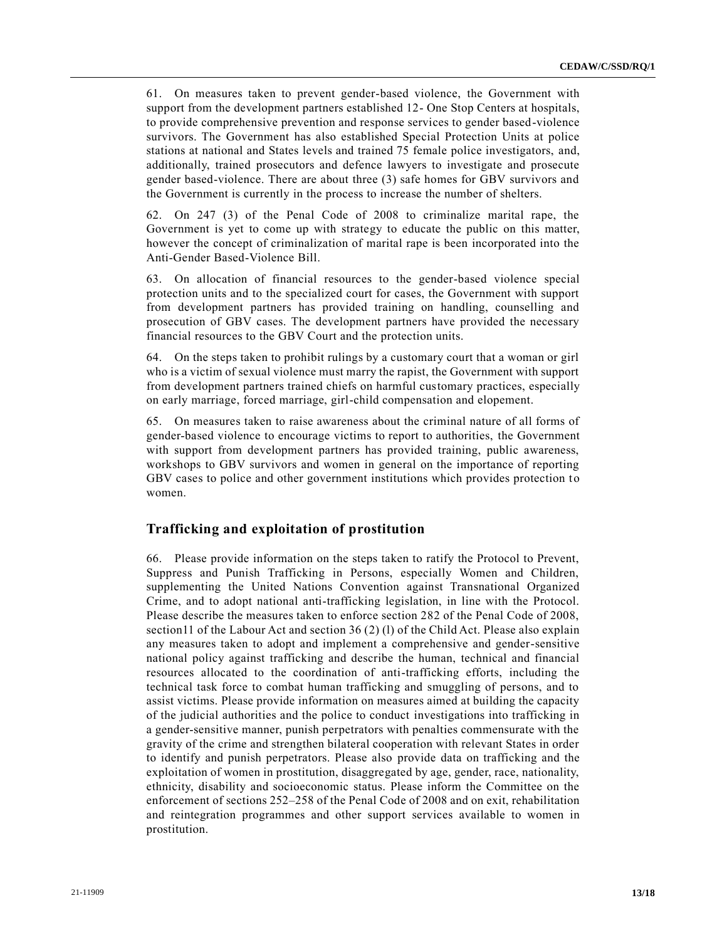61. On measures taken to prevent gender-based violence, the Government with support from the development partners established 12- One Stop Centers at hospitals, to provide comprehensive prevention and response services to gender based-violence survivors. The Government has also established Special Protection Units at police stations at national and States levels and trained 75 female police investigators, and, additionally, trained prosecutors and defence lawyers to investigate and prosecute gender based-violence. There are about three (3) safe homes for GBV survivors and the Government is currently in the process to increase the number of shelters.

62. On 247 (3) of the Penal Code of 2008 to criminalize marital rape, the Government is yet to come up with strategy to educate the public on this matter, however the concept of criminalization of marital rape is been incorporated into the Anti-Gender Based-Violence Bill.

63. On allocation of financial resources to the gender-based violence special protection units and to the specialized court for cases, the Government with support from development partners has provided training on handling, counselling and prosecution of GBV cases. The development partners have provided the necessary financial resources to the GBV Court and the protection units.

64. On the steps taken to prohibit rulings by a customary court that a woman or girl who is a victim of sexual violence must marry the rapist, the Government with support from development partners trained chiefs on harmful customary practices, especially on early marriage, forced marriage, girl-child compensation and elopement.

65. On measures taken to raise awareness about the criminal nature of all forms of gender-based violence to encourage victims to report to authorities, the Government with support from development partners has provided training, public awareness, workshops to GBV survivors and women in general on the importance of reporting GBV cases to police and other government institutions which provides protection to women.

## **Trafficking and exploitation of prostitution**

66. Please provide information on the steps taken to ratify the Protocol to Prevent, Suppress and Punish Trafficking in Persons, especially Women and Children, supplementing the United Nations Convention against Transnational Organized Crime, and to adopt national anti-trafficking legislation, in line with the Protocol. Please describe the measures taken to enforce section 282 of the Penal Code of 2008, section11 of the Labour Act and section 36 (2) (l) of the Child Act. Please also explain any measures taken to adopt and implement a comprehensive and gender-sensitive national policy against trafficking and describe the human, technical and financial resources allocated to the coordination of anti-trafficking efforts, including the technical task force to combat human trafficking and smuggling of persons, and to assist victims. Please provide information on measures aimed at building the capacity of the judicial authorities and the police to conduct investigations into trafficking in a gender-sensitive manner, punish perpetrators with penalties commensurate with the gravity of the crime and strengthen bilateral cooperation with relevant States in order to identify and punish perpetrators. Please also provide data on trafficking and the exploitation of women in prostitution, disaggregated by age, gender, race, nationality, ethnicity, disability and socioeconomic status. Please inform the Committee on the enforcement of sections 252–258 of the Penal Code of 2008 and on exit, rehabilitation and reintegration programmes and other support services available to women in prostitution.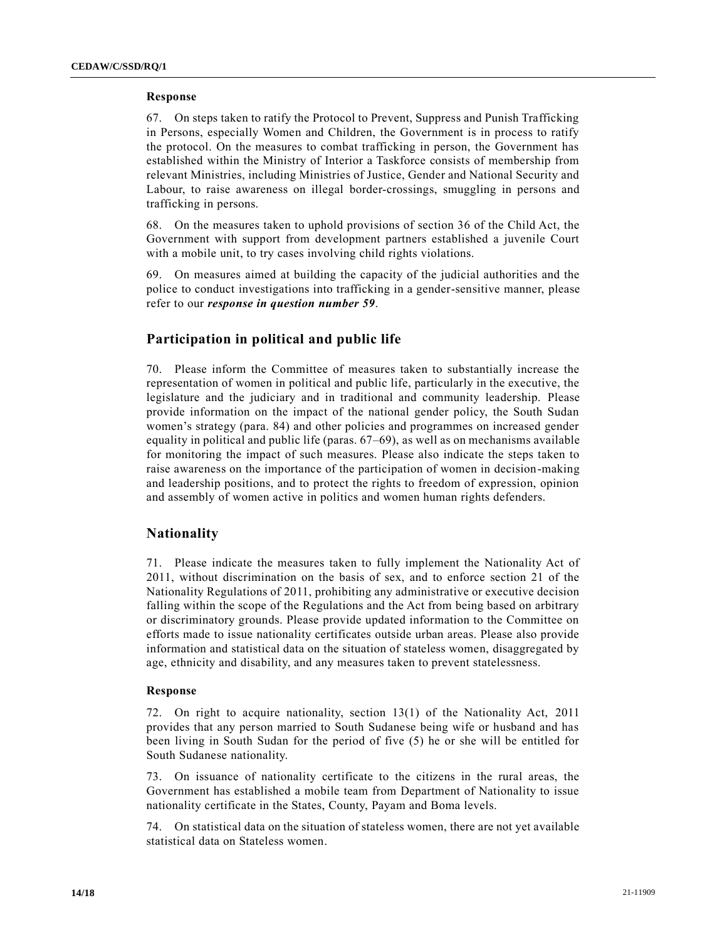#### **Response**

67. On steps taken to ratify the Protocol to Prevent, Suppress and Punish Trafficking in Persons, especially Women and Children, the Government is in process to ratify the protocol. On the measures to combat trafficking in person, the Government has established within the Ministry of Interior a Taskforce consists of membership from relevant Ministries, including Ministries of Justice, Gender and National Security and Labour, to raise awareness on illegal border-crossings, smuggling in persons and trafficking in persons.

68. On the measures taken to uphold provisions of section 36 of the Child Act, the Government with support from development partners established a juvenile Court with a mobile unit, to try cases involving child rights violations.

69. On measures aimed at building the capacity of the judicial authorities and the police to conduct investigations into trafficking in a gender-sensitive manner, please refer to our *response in question number 59*.

## **Participation in political and public life**

70. Please inform the Committee of measures taken to substantially increase the representation of women in political and public life, particularly in the executive, the legislature and the judiciary and in traditional and community leadership. Please provide information on the impact of the national gender policy, the South Sudan women's strategy (para. 84) and other policies and programmes on increased gender equality in political and public life (paras. 67–69), as well as on mechanisms available for monitoring the impact of such measures. Please also indicate the steps taken to raise awareness on the importance of the participation of women in decision-making and leadership positions, and to protect the rights to freedom of expression, opinion and assembly of women active in politics and women human rights defenders.

## **Nationality**

71. Please indicate the measures taken to fully implement the Nationality Act of 2011, without discrimination on the basis of sex, and to enforce section 21 of the Nationality Regulations of 2011, prohibiting any administrative or executive decision falling within the scope of the Regulations and the Act from being based on arbitrary or discriminatory grounds. Please provide updated information to the Committee on efforts made to issue nationality certificates outside urban areas. Please also provide information and statistical data on the situation of stateless women, disaggregated by age, ethnicity and disability, and any measures taken to prevent statelessness.

#### **Response**

72. On right to acquire nationality, section 13(1) of the Nationality Act, 2011 provides that any person married to South Sudanese being wife or husband and has been living in South Sudan for the period of five (5) he or she will be entitled for South Sudanese nationality.

73. On issuance of nationality certificate to the citizens in the rural areas, the Government has established a mobile team from Department of Nationality to issue nationality certificate in the States, County, Payam and Boma levels.

74. On statistical data on the situation of stateless women, there are not yet available statistical data on Stateless women.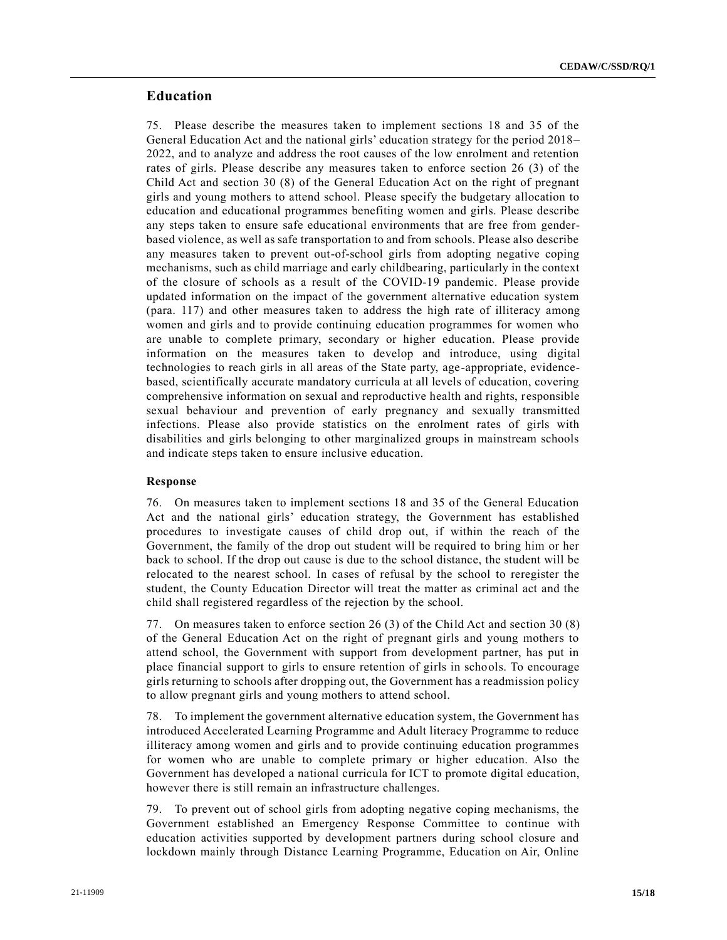## **Education**

75. Please describe the measures taken to implement sections 18 and 35 of the General Education Act and the national girls' education strategy for the period 2018– 2022, and to analyze and address the root causes of the low enrolment and retention rates of girls. Please describe any measures taken to enforce section 26 (3) of the Child Act and section 30 (8) of the General Education Act on the right of pregnant girls and young mothers to attend school. Please specify the budgetary allocation to education and educational programmes benefiting women and girls. Please describe any steps taken to ensure safe educational environments that are free from genderbased violence, as well as safe transportation to and from schools. Please also describe any measures taken to prevent out-of-school girls from adopting negative coping mechanisms, such as child marriage and early childbearing, particularly in the context of the closure of schools as a result of the COVID-19 pandemic. Please provide updated information on the impact of the government alternative education system (para. 117) and other measures taken to address the high rate of illiteracy among women and girls and to provide continuing education programmes for women who are unable to complete primary, secondary or higher education. Please provide information on the measures taken to develop and introduce, using digital technologies to reach girls in all areas of the State party, age-appropriate, evidencebased, scientifically accurate mandatory curricula at all levels of education, covering comprehensive information on sexual and reproductive health and rights, responsible sexual behaviour and prevention of early pregnancy and sexually transmitted infections. Please also provide statistics on the enrolment rates of girls with disabilities and girls belonging to other marginalized groups in mainstream schools and indicate steps taken to ensure inclusive education.

#### **Response**

76. On measures taken to implement sections 18 and 35 of the General Education Act and the national girls' education strategy, the Government has established procedures to investigate causes of child drop out, if within the reach of the Government, the family of the drop out student will be required to bring him or her back to school. If the drop out cause is due to the school distance, the student will be relocated to the nearest school. In cases of refusal by the school to reregister the student, the County Education Director will treat the matter as criminal act and the child shall registered regardless of the rejection by the school.

77. On measures taken to enforce section 26 (3) of the Child Act and section 30 (8) of the General Education Act on the right of pregnant girls and young mothers to attend school, the Government with support from development partner, has put in place financial support to girls to ensure retention of girls in schools. To encourage girls returning to schools after dropping out, the Government has a readmission policy to allow pregnant girls and young mothers to attend school.

78. To implement the government alternative education system, the Government has introduced Accelerated Learning Programme and Adult literacy Programme to reduce illiteracy among women and girls and to provide continuing education programmes for women who are unable to complete primary or higher education. Also the Government has developed a national curricula for ICT to promote digital education, however there is still remain an infrastructure challenges.

79. To prevent out of school girls from adopting negative coping mechanisms, the Government established an Emergency Response Committee to continue with education activities supported by development partners during school closure and lockdown mainly through Distance Learning Programme, Education on Air, Online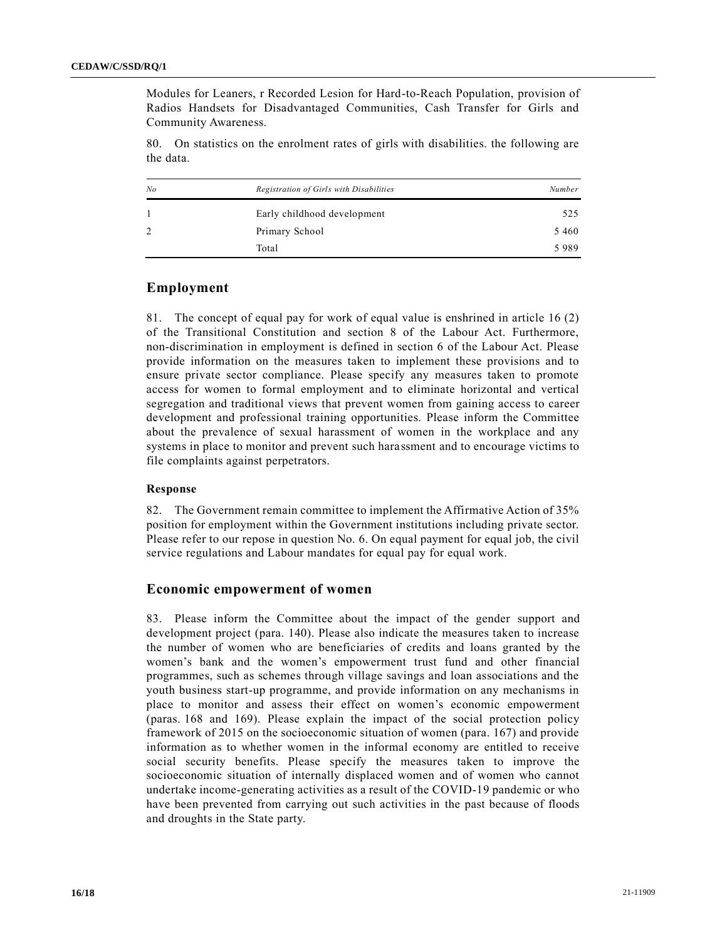Modules for Leaners, r Recorded Lesion for Hard-to-Reach Population, provision of Radios Handsets for Disadvantaged Communities, Cash Transfer for Girls and Community Awareness.

80. On statistics on the enrolment rates of girls with disabilities. the following are the data.

| N <sub>o</sub> | Registration of Girls with Disabilities | Number  |
|----------------|-----------------------------------------|---------|
|                | Early childhood development             | 525     |
| 2              | Primary School                          | 5 4 6 0 |
|                | Total                                   | 5989    |

## **Employment**

81. The concept of equal pay for work of equal value is enshrined in article 16 (2) of the Transitional Constitution and section 8 of the Labour Act. Furthermore, non-discrimination in employment is defined in section 6 of the Labour Act. Please provide information on the measures taken to implement these provisions and to ensure private sector compliance. Please specify any measures taken to promote access for women to formal employment and to eliminate horizontal and vertical segregation and traditional views that prevent women from gaining access to career development and professional training opportunities. Please inform the Committee about the prevalence of sexual harassment of women in the workplace and any systems in place to monitor and prevent such harassment and to encourage victims to file complaints against perpetrators.

## **Response**

82. The Government remain committee to implement the Affirmative Action of 35% position for employment within the Government institutions including private sector. Please refer to our repose in question No. 6. On equal payment for equal job, the civil service regulations and Labour mandates for equal pay for equal work.

#### **Economic empowerment of women**

83. Please inform the Committee about the impact of the gender support and development project (para. 140). Please also indicate the measures taken to increase the number of women who are beneficiaries of credits and loans granted by the women's bank and the women's empowerment trust fund and other financial programmes, such as schemes through village savings and loan associations and the youth business start-up programme, and provide information on any mechanisms in place to monitor and assess their effect on women's economic empowerment (paras. 168 and 169). Please explain the impact of the social protection policy framework of 2015 on the socioeconomic situation of women (para. 167) and provide information as to whether women in the informal economy are entitled to receive social security benefits. Please specify the measures taken to improve the socioeconomic situation of internally displaced women and of women who cannot undertake income-generating activities as a result of the COVID-19 pandemic or who have been prevented from carrying out such activities in the past because of floods and droughts in the State party.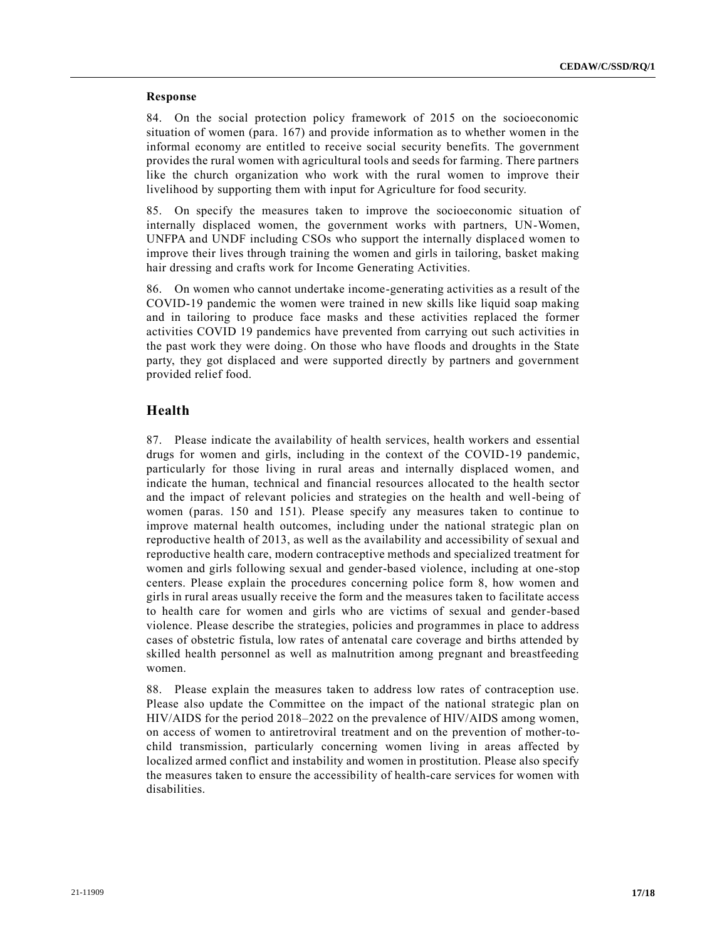#### **Response**

84. On the social protection policy framework of 2015 on the socioeconomic situation of women (para. 167) and provide information as to whether women in the informal economy are entitled to receive social security benefits. The government provides the rural women with agricultural tools and seeds for farming. There partners like the church organization who work with the rural women to improve their livelihood by supporting them with input for Agriculture for food security.

85. On specify the measures taken to improve the socioeconomic situation of internally displaced women, the government works with partners, UN-Women, UNFPA and UNDF including CSOs who support the internally displaced women to improve their lives through training the women and girls in tailoring, basket making hair dressing and crafts work for Income Generating Activities.

86. On women who cannot undertake income-generating activities as a result of the COVID-19 pandemic the women were trained in new skills like liquid soap making and in tailoring to produce face masks and these activities replaced the former activities COVID 19 pandemics have prevented from carrying out such activities in the past work they were doing. On those who have floods and droughts in the State party, they got displaced and were supported directly by partners and government provided relief food.

## **Health**

87. Please indicate the availability of health services, health workers and essential drugs for women and girls, including in the context of the COVID-19 pandemic, particularly for those living in rural areas and internally displaced women, and indicate the human, technical and financial resources allocated to the health sector and the impact of relevant policies and strategies on the health and well-being of women (paras. 150 and 151). Please specify any measures taken to continue to improve maternal health outcomes, including under the national strategic plan on reproductive health of 2013, as well as the availability and accessibility of sexual and reproductive health care, modern contraceptive methods and specialized treatment for women and girls following sexual and gender-based violence, including at one-stop centers. Please explain the procedures concerning police form 8, how women and girls in rural areas usually receive the form and the measures taken to facilitate access to health care for women and girls who are victims of sexual and gender-based violence. Please describe the strategies, policies and programmes in place to address cases of obstetric fistula, low rates of antenatal care coverage and births attended by skilled health personnel as well as malnutrition among pregnant and breastfeeding women.

88. Please explain the measures taken to address low rates of contraception use. Please also update the Committee on the impact of the national strategic plan on HIV/AIDS for the period 2018–2022 on the prevalence of HIV/AIDS among women, on access of women to antiretroviral treatment and on the prevention of mother-tochild transmission, particularly concerning women living in areas affected by localized armed conflict and instability and women in prostitution. Please also specify the measures taken to ensure the accessibility of health-care services for women with disabilities.